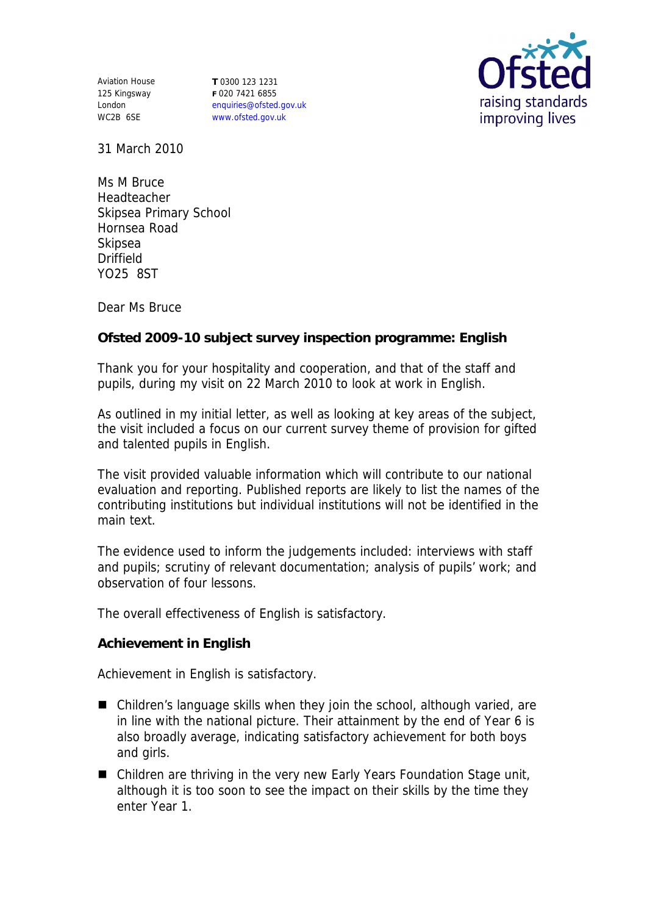Aviation House 125 Kingsway London WC2B 6SE

**T** 0300 123 1231 **F** 020 7421 6855 enquiries@ofsted.gov.uk www.ofsted.gov.uk



31 March 2010

Ms M Bruce Headteacher Skipsea Primary School Hornsea Road Skipsea Driffield YO25 8ST

Dear Ms Bruce

**Ofsted 2009-10 subject survey inspection programme: English** 

Thank you for your hospitality and cooperation, and that of the staff and pupils, during my visit on 22 March 2010 to look at work in English.

As outlined in my initial letter, as well as looking at key areas of the subject, the visit included a focus on our current survey theme of provision for gifted and talented pupils in English.

The visit provided valuable information which will contribute to our national evaluation and reporting. Published reports are likely to list the names of the contributing institutions but individual institutions will not be identified in the main text.

The evidence used to inform the judgements included: interviews with staff and pupils; scrutiny of relevant documentation; analysis of pupils' work; and observation of four lessons.

The overall effectiveness of English is satisfactory.

**Achievement in English**

Achievement in English is satisfactory.

- Children's language skills when they join the school, although varied, are in line with the national picture. Their attainment by the end of Year 6 is also broadly average, indicating satisfactory achievement for both boys and girls.
- Children are thriving in the very new Early Years Foundation Stage unit, although it is too soon to see the impact on their skills by the time they enter Year 1.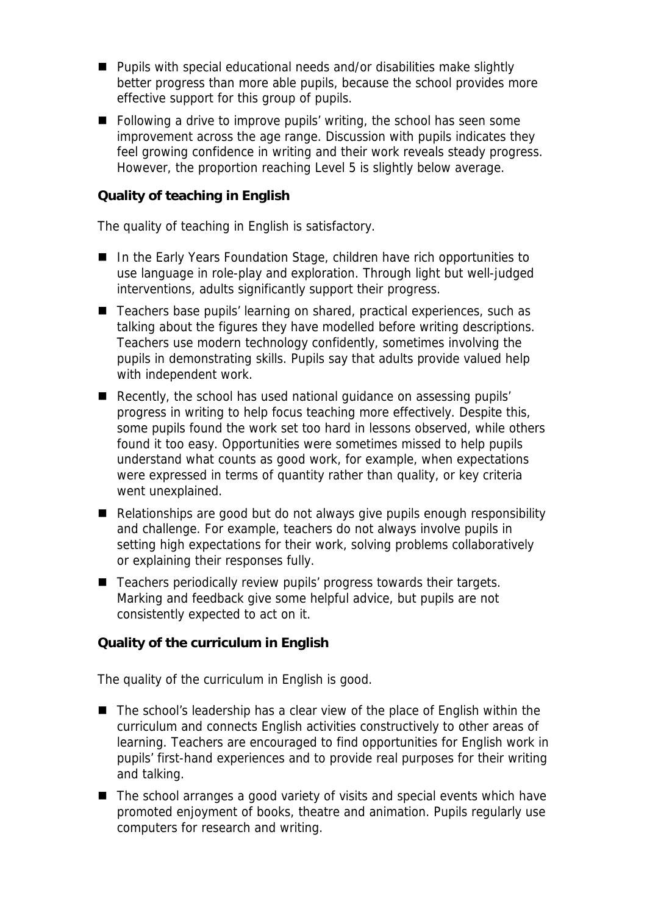- Pupils with special educational needs and/or disabilities make slightly better progress than more able pupils, because the school provides more effective support for this group of pupils.
- Following a drive to improve pupils' writing, the school has seen some improvement across the age range. Discussion with pupils indicates they feel growing confidence in writing and their work reveals steady progress. However, the proportion reaching Level 5 is slightly below average.

## **Quality of teaching in English**

The quality of teaching in English is satisfactory.

- In the Early Years Foundation Stage, children have rich opportunities to use language in role-play and exploration. Through light but well-judged interventions, adults significantly support their progress.
- Teachers base pupils' learning on shared, practical experiences, such as talking about the figures they have modelled before writing descriptions. Teachers use modern technology confidently, sometimes involving the pupils in demonstrating skills. Pupils say that adults provide valued help with independent work.
- Recently, the school has used national quidance on assessing pupils' progress in writing to help focus teaching more effectively. Despite this, some pupils found the work set too hard in lessons observed, while others found it too easy. Opportunities were sometimes missed to help pupils understand what counts as good work, for example, when expectations were expressed in terms of quantity rather than quality, or key criteria went unexplained.
- Relationships are good but do not always give pupils enough responsibility and challenge. For example, teachers do not always involve pupils in setting high expectations for their work, solving problems collaboratively or explaining their responses fully.
- Teachers periodically review pupils' progress towards their targets. Marking and feedback give some helpful advice, but pupils are not consistently expected to act on it.

**Quality of the curriculum in English** 

The quality of the curriculum in English is good.

- The school's leadership has a clear view of the place of English within the curriculum and connects English activities constructively to other areas of learning. Teachers are encouraged to find opportunities for English work in pupils' first-hand experiences and to provide real purposes for their writing and talking.
- The school arranges a good variety of visits and special events which have promoted enjoyment of books, theatre and animation. Pupils regularly use computers for research and writing.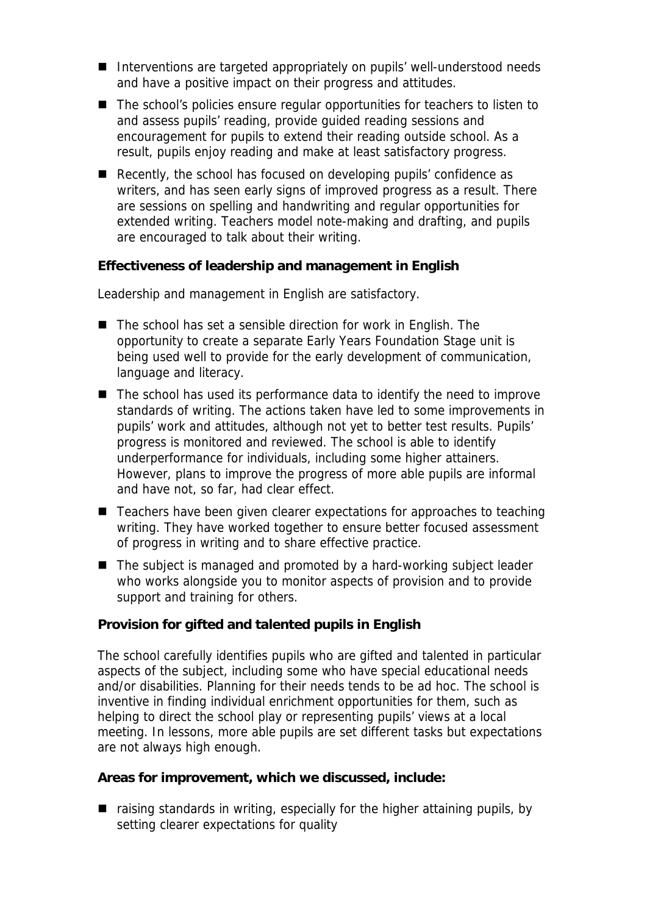- Interventions are targeted appropriately on pupils' well-understood needs and have a positive impact on their progress and attitudes.
- The school's policies ensure regular opportunities for teachers to listen to and assess pupils' reading, provide guided reading sessions and encouragement for pupils to extend their reading outside school. As a result, pupils enjoy reading and make at least satisfactory progress.
- Recently, the school has focused on developing pupils' confidence as writers, and has seen early signs of improved progress as a result. There are sessions on spelling and handwriting and regular opportunities for extended writing. Teachers model note-making and drafting, and pupils are encouraged to talk about their writing.

**Effectiveness of leadership and management in English**

Leadership and management in English are satisfactory.

- The school has set a sensible direction for work in English. The opportunity to create a separate Early Years Foundation Stage unit is being used well to provide for the early development of communication, language and literacy.
- The school has used its performance data to identify the need to improve standards of writing. The actions taken have led to some improvements in pupils' work and attitudes, although not yet to better test results. Pupils' progress is monitored and reviewed. The school is able to identify underperformance for individuals, including some higher attainers. However, plans to improve the progress of more able pupils are informal and have not, so far, had clear effect.
- Teachers have been given clearer expectations for approaches to teaching writing. They have worked together to ensure better focused assessment of progress in writing and to share effective practice.
- The subject is managed and promoted by a hard-working subject leader who works alongside you to monitor aspects of provision and to provide support and training for others.

**Provision for gifted and talented pupils in English** 

The school carefully identifies pupils who are gifted and talented in particular aspects of the subject, including some who have special educational needs and/or disabilities. Planning for their needs tends to be ad hoc. The school is inventive in finding individual enrichment opportunities for them, such as helping to direct the school play or representing pupils' views at a local meeting. In lessons, more able pupils are set different tasks but expectations are not always high enough.

**Areas for improvement, which we discussed, include:**

 $\blacksquare$  raising standards in writing, especially for the higher attaining pupils, by setting clearer expectations for quality